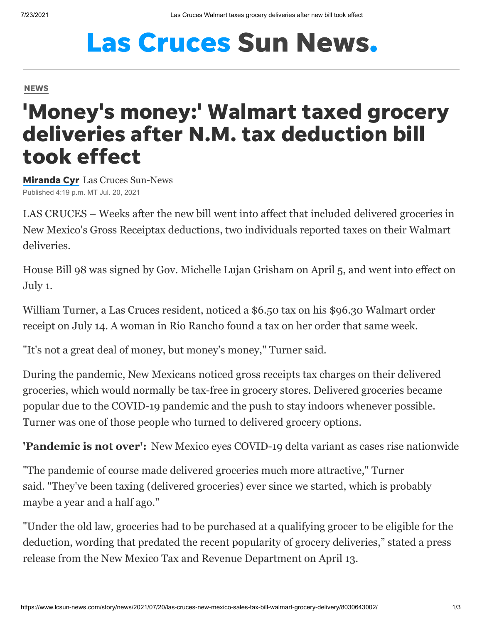# **Las Cruces Sun News.**

#### **[NEWS](https://www.lcsun-news.com/news/)**

## 'Money's money:' Walmart taxed grocery deliveries after N.M. tax deduction bill took effect

[Miranda](https://www.lcsun-news.com/staff/5311761002/miranda-cyr/) Cyr Las Cruces Sun-News Published 4:19 p.m. MT Jul. 20, 2021

LAS CRUCES – Weeks after the new bill went into affect that included delivered groceries in New Mexico's Gross Receiptax deductions, two individuals reported taxes on their Walmart deliveries.

[House Bill 98](https://www.nmlegis.gov/Sessions/21%20Regular/final/HB0098.pdf) was signed by Gov. Michelle Lujan Grisham on April 5, and went into effect on July 1.

William Turner, a Las Cruces resident, noticed a \$6.50 tax on his \$96.30 Walmart order receipt on July 14. A woman in Rio Rancho found a tax on her order that same week.

"It's not a great deal of money, but money's money," Turner said.

During the pandemic, New Mexicans noticed gross receipts tax charges on their delivered groceries, which would normally be tax-free in grocery stores. Delivered groceries became popular due to the COVID-19 pandemic and the push to stay indoors whenever possible. Turner was one of those people who turned to delivered grocery options.

**'Pandemic is not over':** [New Mexico eyes COVID-19 delta variant as cases rise nationwide](https://www.lcsun-news.com/story/news/local/new-mexico/2021/07/14/new-mexico-eyes-covid-19-variant-cases-rise-nationwide-coronavirus/7964225002/)

"The pandemic of course made delivered groceries much more attractive," Turner said. "They've been taxing (delivered groceries) ever since we started, which is probably maybe a year and a half ago."

"Under the old law, groceries had to be purchased at a qualifying grocer to be eligible for the deduction, wording that predated the recent popularity of grocery deliveries," stated a press release from the New Mexico Tax and Revenue Department on April 13.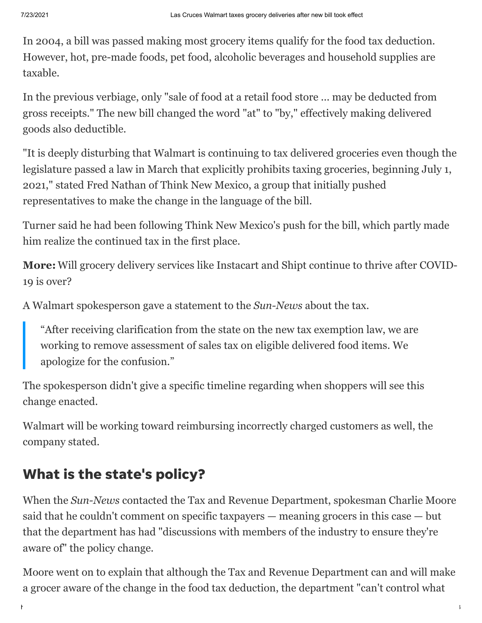In 2004, a bill was passed making most grocery items qualify for the food tax deduction. However, hot, pre-made foods, pet food, alcoholic beverages and household supplies are taxable.

In the previous verbiage, only "sale of food at a retail food store ... may be deducted from gross receipts." The new bill changed the word "at" to "by," effectively making delivered goods also deductible.

"It is deeply disturbing that Walmart is continuing to tax delivered groceries even though the legislature passed a law in March that explicitly prohibits taxing groceries, beginning July 1, 2021," stated Fred Nathan of Think New Mexico, a group that initially pushed representatives to make the change in the language of the bill.

Turner said he had been following Think New Mexico's push for the bill, which partly made him realize the continued tax in the first place.

**More:** [Will grocery delivery services like Instacart and Shipt continue to thrive after COVID-](https://www.lcsun-news.com/story/money/food/2021/07/02/instacart-shipt-grocery-delivery-continue-post-covid-shopping/7827347002/)19 is over?

A Walmart spokesperson gave a statement to the *Sun-News* about the tax.

"After receiving clarification from the state on the new tax exemption law, we are working to remove assessment of sales tax on eligible delivered food items. We apologize for the confusion."

The spokesperson didn't give a specific timeline regarding when shoppers will see this change enacted.

Walmart will be working toward reimbursing incorrectly charged customers as well, the company stated.

### What is the state's policy?

When the *Sun-News* contacted the Tax and Revenue Department, spokesman Charlie Moore said that he couldn't comment on specific taxpayers — meaning grocers in this case — but that the department has had "discussions with members of the industry to ensure they're aware of" the policy change.

Moore went on to explain that although the Tax and Revenue Department can and will make a grocer aware of the change in the food tax deduction, the department "can't control what